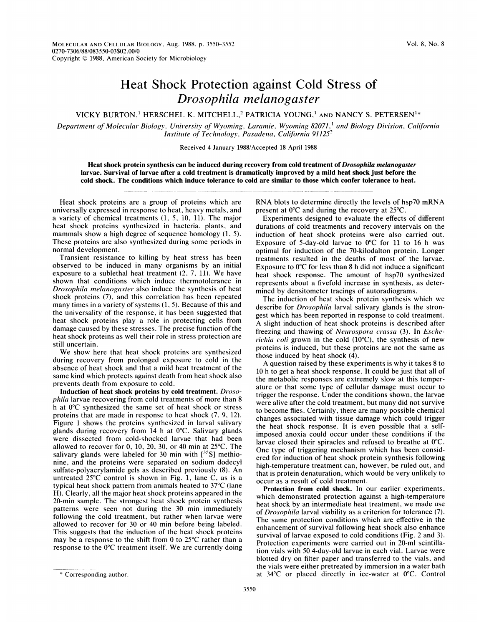## Heat Shock Protection against Cold Stress of Drosophila melanogaster

VICKY BURTON,<sup>1</sup> HERSCHEL K. MITCHELL,<sup>2</sup> PATRICIA YOUNG,<sup>1</sup> AND NANCY S. PETERSEN<sup>1\*</sup>

Department of Molecular Biology, University of Wyoming, Laramie, Wyoming 82071,<sup>1</sup> and Biology Division, California Institute of Technology, Pasadena, California  $91125^2$ 

Received 4 January 1988/Accepted 18 April 1988

Heat shock protein synthesis can be induced during recovery from cold treatment of Drosophila melanogaster larvae. Survival of larvae after a cold treatment is dramatically improved by a mild heat shock just before the cold shock. The conditions which induce tolerance to cold are similar to those which confer tolerance to heat.

Heat shock proteins are a group of proteins which are universally expressed in response to heat, heavy metals, and a variety of chemical treatments (1, 5, 10, 11). The major heat shock proteins synthesized in bacteria, plants, and mammals show a high degree of sequence homology (1, 5). These proteins are also synthesized during some periods in normal development.

Transient resistance to killing by heat stress has been observed to be induced in many organisms by an initial exposure to <sup>a</sup> sublethal heat treatment (2, 7, 11). We have shown that conditions which induce thermotolerance in Drosophila melanogaster also induce the synthesis of heat shock proteins (7), and this correlation has been repeated many times in a variety of systems (1, 5). Because of this and the universality of the response, it has been suggested that heat shock proteins play a role in protecting cells from damage caused by these stresses. The precise function of the heat shock proteins as well their role in stress protection are still uncertain.

We show here that heat shock proteins are synthesized during recovery from prolonged exposure to cold in the absence of heat shock and that a mild heat treatment of the same kind which protects against death from heat shock also prevents death from exposure to cold.

Induction of heat shock proteins by cold treatment. Drosophila larvae recovering from cold treatments of more than 8 h at 0°C synthesized the same set of heat shock or stress proteins that are made in response to heat shock (7, 9, 12). Figure <sup>1</sup> shows the proteins synthesized in larval salivary glands during recovery from 14 h at 0°C. Salivary glands were dissected from cold-shocked larvae that had been allowed to recover for 0, 10, 20, 30, or 40 min at 25°C. The salivary glands were labeled for 30 min with  $[^{35}S]$  methionine, and the proteins were separated on sodium dodecyl sulfate-polyacrylamide gels as described previously (8). An untreated 25°C control is shown in Fig. 1, lane C, as is a typical heat shock pattern from animals heated to 37°C (lane H). Clearly, all the major heat shock proteins appeared in the 20-min sample. The strongest heat shock protein synthesis patterns were seen not during the 30 min immediately following the cold treatment, but rather when larvae were allowed to recover for 30 or 40 min before being labeled. This suggests that the induction of the heat shock proteins may be a response to the shift from 0 to 25°C rather than a response to the 0°C treatment itself. We are currently doing RNA blots to determine directly the levels of hsp70 mRNA present at 0°C and during the recovery at 25°C.

Experiments designed to evaluate the effects of different durations of cold treatments and recovery intervals on the induction of heat shock proteins were also carried out. Exposure of 5-day-old larvae to 0°C for 11 to 16 h was optimal for induction of the 70-kilodalton protein. Longer treatments resulted in the deaths of most of the larvae. Exposure to  $0^{\circ}$ C for less than 8 h did not induce a significant heat shock response. The amount of hsp70 synthesized represents about a fivefold increase in synthesis, as determined by densitometer tracings of autoradiograms.

The induction of heat shock protein synthesis which we describe for Drosophila larval salivary glands is the strongest which has been reported in response to cold treatment. A slight induction of heat shock proteins is described after freezing and thawing of Neurospora crassa (3). In Escherichia coli grown in the cold  $(10^{\circ}C)$ , the synthesis of new proteins is induced, but these proteins are not the same as those induced by heat shock (4).

A question raised by these experiments is why it takes <sup>8</sup> to 10 h to get a heat shock response. It could be just that all of the metabolic responses are extremely slow at this temperature or that some type of cellular damage must occur to trigger the response. Under the conditions shown, the larvae were alive after the cold treatment, but many did not survive to become flies. Certainly, there are many possible chemical changes associated with tissue damage which could trigger the heat shock response. It is even possible that a selfimposed anoxia could occur under these conditions if the larvae closed their spiracles and refused to breathe at 0°C. One type of triggering mechanism which has been considered for induction of heat shock protein synthesis following high-temperature treatment can, however, be ruled out, and that is protein denaturation, which would be very unlikely to occur as a result of cold treatment.

Protection from cold shock. In our earlier experiments, which demonstrated protection against a high-temperature heat shock by an intermediate heat treatment, we made use of Drosophila larval viability as a criterion for tolerance (7). The same protection conditions which are effective in the enhancement of survival following heat shock also enhance survival of larvae exposed to cold conditions (Fig. 2 and 3). Protection experiments were carried out in 20-ml scintillation vials with 50 4-day-old larvae in each vial. Larvae were blotted dry on filter paper and transferred to the vials, and the vials were either pretreated by immersion in a water bath at 34°C or placed directly in ice-water at 0°C. Control

<sup>\*</sup> Corresponding author.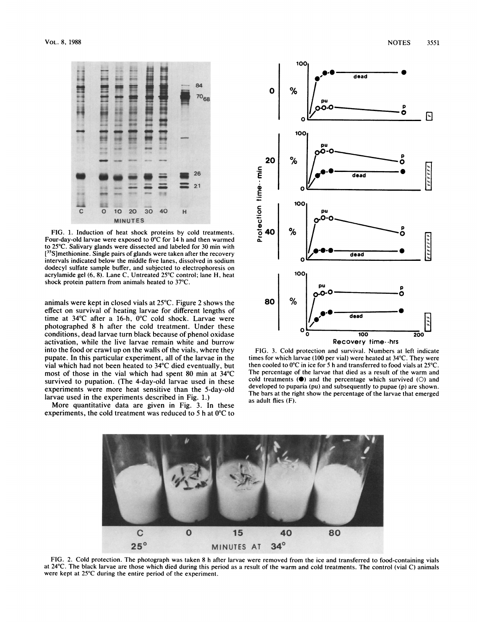

FIG. 1. Induction of heat shock proteins by cold treatments. Four-day-old larvae were exposed to 0°C for 14 h and then warmed to 25°C. Salivary glands were dissected and labeled for 30 min with [<sup>35</sup>S]methionine. Single pairs of glands were taken after the recovery intervals indicated below the middle five lanes, dissolved in sodium dodecyl sulfate sample buffer, and subjected to electrophoresis on acrylamide gel (6, 8). Lane C, Untreated 25°C control; lane H, heat shock protein pattern from animals heated to 37°C.

animals were kept in closed vials at 25°C. Figure 2 shows the effect on survival of heating larvae for different lengths of time at 34°C after a 16-h, 0°C cold shock. Larvae were photographed 8 h after the cold treatment. Under these conditions, dead larvae turn black because of phenol oxidase activation, while the live larvae remain white and burrow into the food or crawl up on the walls of the vials, where they pupate. In this particular experiment, all of the larvae in the vial which had not been heated to 34°C died eventually, but most of those in the vial which had spent 80 min at 34°C survived to pupation. (The 4-day-old larvae used in these experiments were more heat sensitive than the 5-day-old larvae used in the experiments described in Fig. 1.)

More quantitative data are given in Fig. 3. In these experiments, the cold treatment was reduced to 5 h at 0°C to



FIG. 3. Cold protection and survival. Numbers at left indicate times for which larvae (100 per vial) were heated at 34°C. They were then cooled to 0°C in ice for 5 h and transferred to food vials at 25°C. The percentage of the larvae that died as a result of the warm and cold treatments  $(\bullet)$  and the percentage which survived  $(O)$  and developed to puparia (pu) and subsequently to pupae (p) are shown. The bars at the right show the percentage of the larvae that emerged as adult flies (F).



FIG. 2. Cold protection. The photograph was taken 8 h after larvae were removed from the ice and transferred to food-containing vials at 24°C. The black larvae are those which died during this period as a result of the warm and cold treatments. The control (vial C) animals were kept at 25°C during the entire period of the experiment.